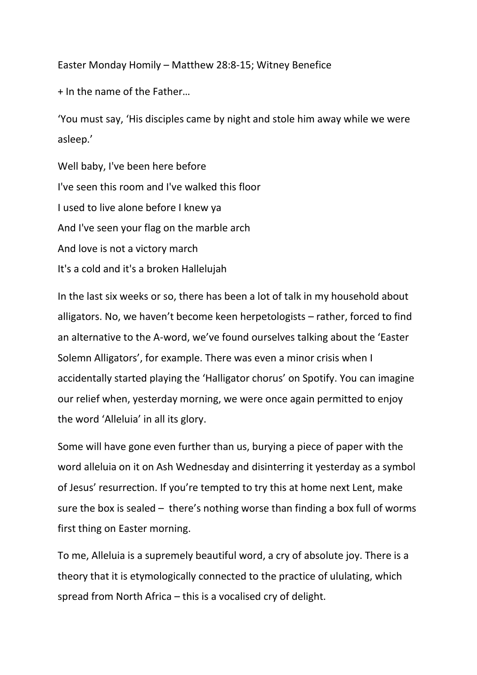Easter Monday Homily – Matthew 28:8-15; Witney Benefice

+ In the name of the Father…

'You must say, 'His disciples came by night and stole him away while we were asleep.'

Well baby, I've been here before I've seen this room and I've walked this floor I used to live alone before I knew ya And I've seen your flag on the marble arch And love is not a victory march It's a cold and it's a broken Hallelujah

In the last six weeks or so, there has been a lot of talk in my household about alligators. No, we haven't become keen herpetologists – rather, forced to find an alternative to the A-word, we've found ourselves talking about the 'Easter Solemn Alligators', for example. There was even a minor crisis when I accidentally started playing the 'Halligator chorus' on Spotify. You can imagine our relief when, yesterday morning, we were once again permitted to enjoy the word 'Alleluia' in all its glory.

Some will have gone even further than us, burying a piece of paper with the word alleluia on it on Ash Wednesday and disinterring it yesterday as a symbol of Jesus' resurrection. If you're tempted to try this at home next Lent, make sure the box is sealed – there's nothing worse than finding a box full of worms first thing on Easter morning.

To me, Alleluia is a supremely beautiful word, a cry of absolute joy. There is a theory that it is etymologically connected to the practice of ululating, which spread from North Africa – this is a vocalised cry of delight.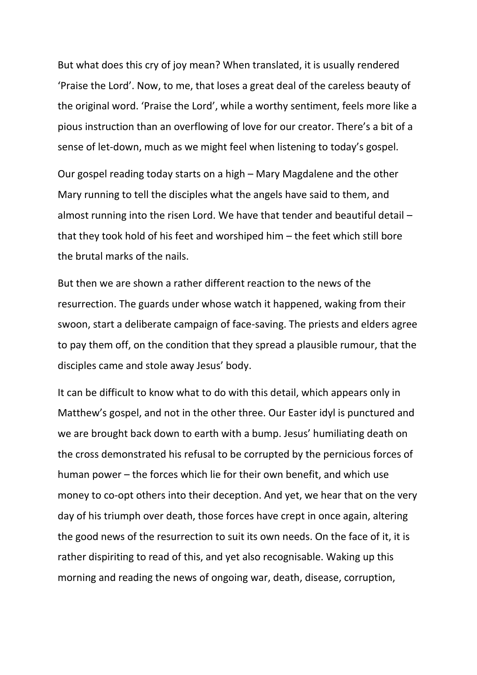But what does this cry of joy mean? When translated, it is usually rendered 'Praise the Lord'. Now, to me, that loses a great deal of the careless beauty of the original word. 'Praise the Lord', while a worthy sentiment, feels more like a pious instruction than an overflowing of love for our creator. There's a bit of a sense of let-down, much as we might feel when listening to today's gospel.

Our gospel reading today starts on a high – Mary Magdalene and the other Mary running to tell the disciples what the angels have said to them, and almost running into the risen Lord. We have that tender and beautiful detail – that they took hold of his feet and worshiped him – the feet which still bore the brutal marks of the nails.

But then we are shown a rather different reaction to the news of the resurrection. The guards under whose watch it happened, waking from their swoon, start a deliberate campaign of face-saving. The priests and elders agree to pay them off, on the condition that they spread a plausible rumour, that the disciples came and stole away Jesus' body.

It can be difficult to know what to do with this detail, which appears only in Matthew's gospel, and not in the other three. Our Easter idyl is punctured and we are brought back down to earth with a bump. Jesus' humiliating death on the cross demonstrated his refusal to be corrupted by the pernicious forces of human power – the forces which lie for their own benefit, and which use money to co-opt others into their deception. And yet, we hear that on the very day of his triumph over death, those forces have crept in once again, altering the good news of the resurrection to suit its own needs. On the face of it, it is rather dispiriting to read of this, and yet also recognisable. Waking up this morning and reading the news of ongoing war, death, disease, corruption,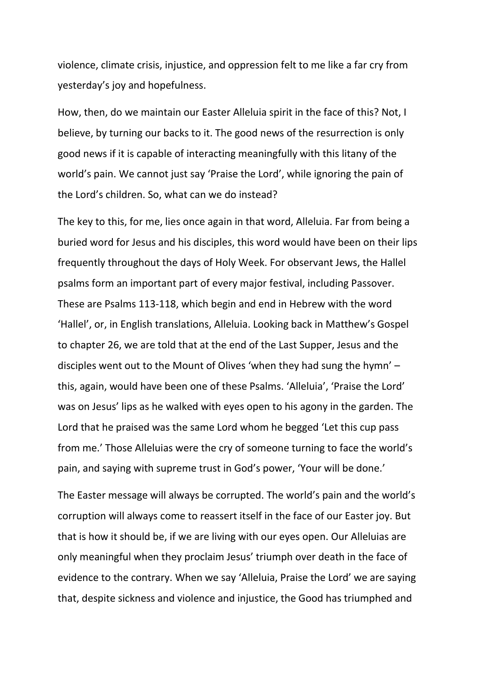violence, climate crisis, injustice, and oppression felt to me like a far cry from yesterday's joy and hopefulness.

How, then, do we maintain our Easter Alleluia spirit in the face of this? Not, I believe, by turning our backs to it. The good news of the resurrection is only good news if it is capable of interacting meaningfully with this litany of the world's pain. We cannot just say 'Praise the Lord', while ignoring the pain of the Lord's children. So, what can we do instead?

The key to this, for me, lies once again in that word, Alleluia. Far from being a buried word for Jesus and his disciples, this word would have been on their lips frequently throughout the days of Holy Week. For observant Jews, the Hallel psalms form an important part of every major festival, including Passover. These are Psalms 113-118, which begin and end in Hebrew with the word 'Hallel', or, in English translations, Alleluia. Looking back in Matthew's Gospel to chapter 26, we are told that at the end of the Last Supper, Jesus and the disciples went out to the Mount of Olives 'when they had sung the hymn' – this, again, would have been one of these Psalms. 'Alleluia', 'Praise the Lord' was on Jesus' lips as he walked with eyes open to his agony in the garden. The Lord that he praised was the same Lord whom he begged 'Let this cup pass from me.' Those Alleluias were the cry of someone turning to face the world's pain, and saying with supreme trust in God's power, 'Your will be done.'

The Easter message will always be corrupted. The world's pain and the world's corruption will always come to reassert itself in the face of our Easter joy. But that is how it should be, if we are living with our eyes open. Our Alleluias are only meaningful when they proclaim Jesus' triumph over death in the face of evidence to the contrary. When we say 'Alleluia, Praise the Lord' we are saying that, despite sickness and violence and injustice, the Good has triumphed and